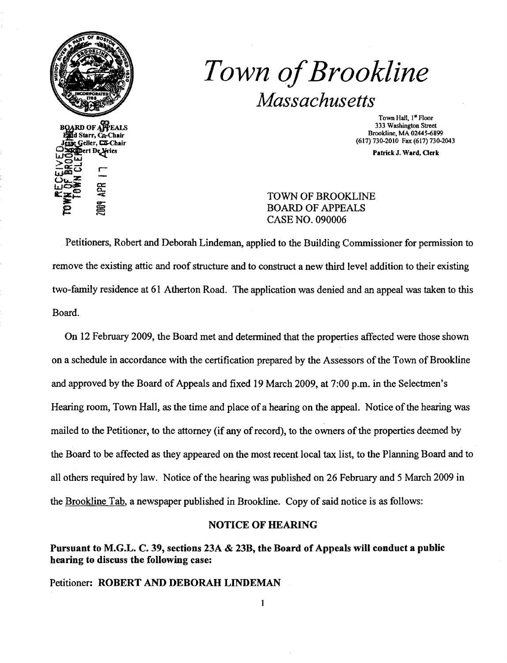

# *Town ofBrookline Massachusetts*

Town Hall, 1<sup>ª</sup> Floor<br>333 Washington Street RD OF APPEALS 333 Washington Street<br>
a Starr, Co-Chair 333 Washington Street<br>
a Starr, Co-Chair

Patrick J. Ward, Clerk

### TOWN OF BROOKLINE E SINCE BOARD OF APPEALS CASE NO. 090006

Petitioners, Robert and Deborah Lindeman, applied to the Building Commissioner for pennission to remove the existing attic and roof structure and to construct a new third level addition to their existing two-family residence at 61 Atherton Road. The application was denied and an appeal was taken to this Board.

On 12 February 2009, the Board met and detennined that the properties affected were those shown on a schedule in accordance with the certification prepared by the Assessors ofthe Town of Brookline and approved by the Board of Appeals and fixed 19 March 2009, at 7:00 p.m. in the Selectmen's Hearing room, Town Hall, as the time and place of a hearing on the appeal. Notice of the hearing was mailed to the Petitioner, to the attorney (if any of record), to the owners of the properties deemed by the Board to be affected as they appeared on the most recent local tax list, to the Planning Board and to all others required by law. Notice of the hearing was published on 26 February and 5 March 2009 in the Brookline Tab, a newspaper published in Brookline. Copy of said notice is as follows:

#### NOTICE OF HEARING

# Pursuant to M.G.L. C. 39, sections 23A & 23B, the Board of Appeals will conduct a public hearing to discuss the following case:

Petitioner: ROBERT AND DEBORAH LINDEMAN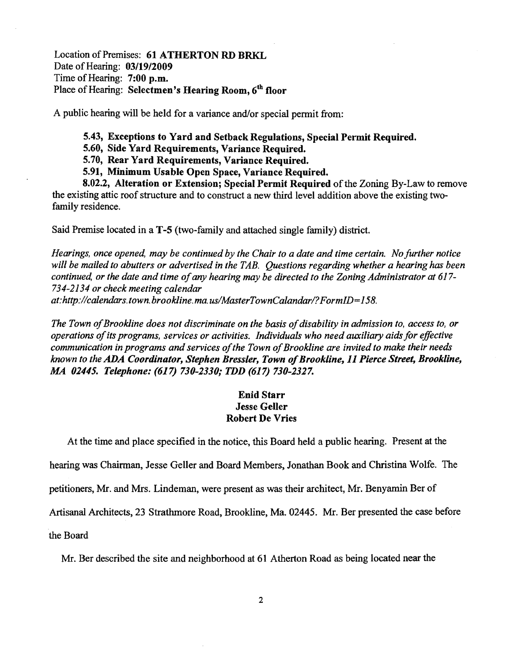Location of Premises: 61 ATHERTON RD BRKL Date of Hearing: *03/19/2009*  Time of Hearing: 7:00 p.m. Place of Hearing: Selectmen's Hearing Room, 6<sup>th</sup> floor

A public hearing will be held for a variance and/or special permit from:

5.43, Exceptions to Yard and Setback Regulations, Special Permit Required.

5.60, Side Yard Requirements, Variance Required.

5.70, Rear Yard Requirements, Variance Required.

5.91, Minimum Usable Open Space, Variance Required.

8.02.2, Alteration or Extension; Special Permit Required of the Zoning By-Law to remove the existing attic roof structure and to construct a new third level addition above the existing twofamily residence.

Said Premise located in a T-5 (two-family and attached single family) district.

*Hearings, once opened, may be continued by the Chair to a date and time certain. No further notice will be mailed to abutters or advertised in the TAB. Questions regarding whether a hearing has been continued, or the date and time of any hearing may be directed to the Zoning Administrator at 617-734-2134 or check meeting calendar at: http://calendars.town.brookline.ma.us/MasterTownCalandarl? FormID= 158.* 

The Town of Brookline does not discriminate on the basis of disability in admission to, access to, or *operations ofits programs, services or activities. Individuals who need auxiliary aids for effective*  communication in programs and services of the Town of Brookline are invited to make their needs *known to the* ADA *Coordinator, Stephen Bressler, Town ofBrookline,* 11 *Pierce Street, Brookline, MA 02445. Telephone:* (617) *730-2330; TDD* (617) *730-2327.* 

#### Enid Starr Jesse Geller Robert De Vries

At the time and place specified in the notice, this Board held a public hearing. Present at the

hearing was Chairman, Jesse Geller and Board Members, Jonathan Book and Christina Wolfe. The

petitioners, Mr. and Mrs. Lindeman, were present as was their architect, Mr. Benyamin Ber of

Artisanal Architects, 23 Strathmore Road, Brookline, Ma. 02445. Mr. Ber presented the case before

the Board

Mr. Ber described the site and neighborhood at 61 Atherton Road as being located near the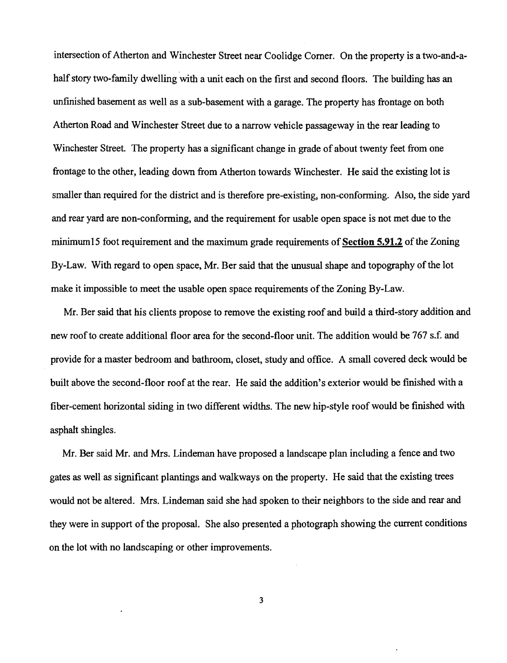intersection of Atherton and Winchester Street near Coolidge Corner. On the property is a two-and-ahalf story two-family dwelling with a unit each on the first and second floors. The building has an unfinished basement as well as a sub-basement with a garage. The property has frontage on both Atherton Road and Winchester Street due to a narrow vehicle passageway in the rear leading to Winchester Street. The property has a significant change in grade of about twenty feet from one frontage to the other, leading down from Atherton towards Winchester. He said the existing lot is smaller than required for the district and is therefore pre-existing, non-conforming. Also, the side yard and rear yard are non-conforming, and the requirement for usable open space is not met due to the minimum15 foot requirement and the maximum grade requirements of Section 5.91.2 of the Zoning By-Law. With regard to open space, Mr. Ber said that the unusual shape and topography of the lot make it impossible to meet the usable open space requirements of the Zoning By-Law.

Mr. Ber said that his clients propose to remove the existing roof and build a third-story addition and new roofto create additional floor area for the second-floor unit. The addition would be 767 s.f. and provide for a master bedroom and bathroom, closet, study and office. A small covered deck would be built above the second-floor roof at the rear. He said the addition's exterior would be finished with a fiber-cement horizontal siding in two different widths. The new hip-style roof would be finished with asphalt shingles.

Mr. Ber said Mr. and Mrs. Lindeman have proposed a landscape plan including a fence and two gates as well as significant plantings and walkways on the property. He said that the existing trees would not be altered. Mrs. Lindeman said she had spoken to their neighbors to the side and rear and they were in support of the proposal. She also presented a photograph showing the current conditions on the lot with no landscaping or other improvements.

3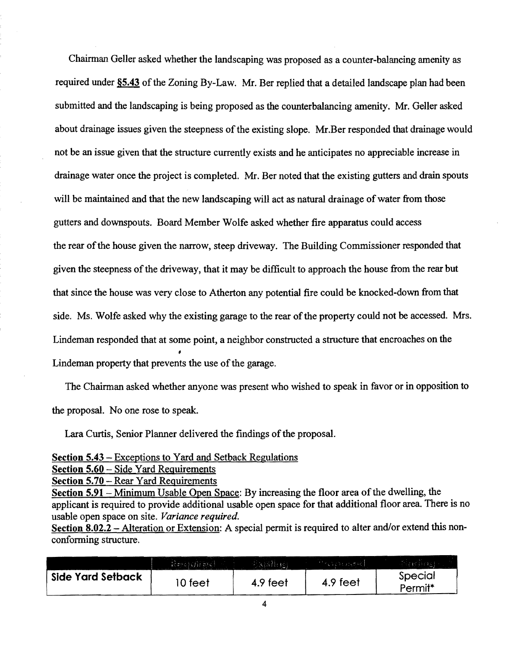Chairman Geller asked whether the landscaping was proposed as a counter-balancing amenity as required under §5.43 of the Zoning By-Law. Mr. Ber replied that a detailed landscape plan had been submitted and the landscaping is being proposed as the counterbalancing amenity. Mr. Geller asked about drainage issues given the steepness of the existing slope. Mr.Ber responded that drainage would not be an issue given that the structure currently exists and he anticipates no appreciable increase in drainage water once the project is completed. Mr. Ber noted that the existing gutters and drain spouts will be maintained and that the new landscaping will act as natural drainage of water from those gutters and downspouts. Board Member Wolfe asked whether fire apparatus could access the rear of the house given the narrow, steep driveway. The Building Commissioner responded that given the steepness of the driveway, that it may be difficult to approach the house from the rear but that since the house was very close to Atherton any potential fire could be knocked-down from that side. Ms. Wolfe asked why the existing garage to the rear of the property could not be accessed. Mrs. Lindeman responded that at some point, a neighbor constructed a structure that encroaches on the Lindeman property that prevents the use of the garage.

The Chairman asked whether anyone was present who wished to speak in favor or in opposition to the proposal. No one rose to speak.

Lara Curtis, Senior Planner delivered the findings of the proposal.

Section 5.43 - Exceptions to Yard and Setback Regulations

Section 5.60 - Side Yard Requirements

Section 5.70 – Rear Yard Requirements

Section 5.91 - Minimum Usable Open Space: By increasing the floor area of the dwelling, the applicant is required to provide additional usable open space for that additional floor area. There is no usable open space on site. *Variance required.* 

Section 8.02.2 – Alteration or Extension: A special permit is required to alter and/or extend this nonconforming structure.

|                   | $R$ and $\{f\}$ and | <b>AKISTING!</b> | (じょくうくうしくさん)() |                    |
|-------------------|---------------------|------------------|----------------|--------------------|
| Side Yard Setback | ∣0 feet             | 4.9 feet         | 4.9 feet       | Special<br>Permit* |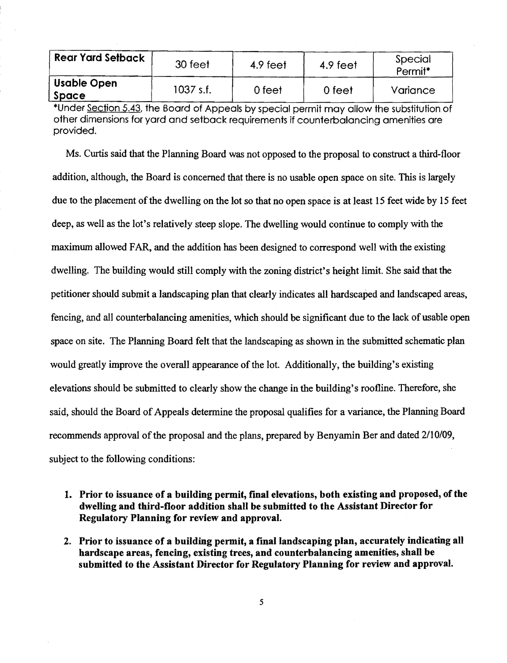| <b>Rear Yard Setback</b>    | 30 feet   | 4.9 feet | 4.9 feet | Special<br>Permit <sup>*</sup> |
|-----------------------------|-----------|----------|----------|--------------------------------|
| <b>Usable Open</b><br>Space | 1037 s.f. | 0 feet   | 0 feet   | Variance                       |

\*Under Section 5.43, the Board of Appeals by special permit may allow the substitution of other dimensions for yard and setback requirements if counterbalancing amenities are provided.

Ms. Curtis said that the Planning Board was not opposed to the proposal to construct a third-floor addition, although, the Board is concerned that there is no usable open space on site. This is largely due to the placement of the dwelling on the lot so that no open space is at least 15 feet wide by 15 feet deep, as well as the lot's relatively steep slope. The dwelling would continue to comply with the maximum allowed FAR, and the addition has been designed to correspond well with the existing dwelling. The building would still comply with the zoning district's height limit. She said that the petitioner should submit a landscaping plan that clearly indicates all hardscaped and landscaped areas, fencing, and all counterbalancing amenities, which should be significant due to the lack of usable open space on site. The Planning Board felt that the landscaping as shown in the submitted schematic plan would greatly improve the overall appearance of the lot. Additionally, the building's existing elevations should be submitted to clearly show the change in the building's roofline. Therefore, she said, should the Board of Appeals determine the proposal qualifies for a variance, the Planning Board recommends approval of the proposal and the plans, prepared by Benyamin Ber and dated 2/10/09, subject to the following conditions:

- 1. Prior to issuance of a building permit, final elevations, both existing and proposed, of the dwelling and third-floor addition shall be submitted to the Assistant Director for Regulatory Planning for review and approval.
- 2. Prior to issuance of a building permit, a final landscaping plan, accurately indicating all hardscape areas, fencing, existing trees, and counterbalancing amenities, shall be submitted to the Assistant Director for Regulatory Planning for review and approval.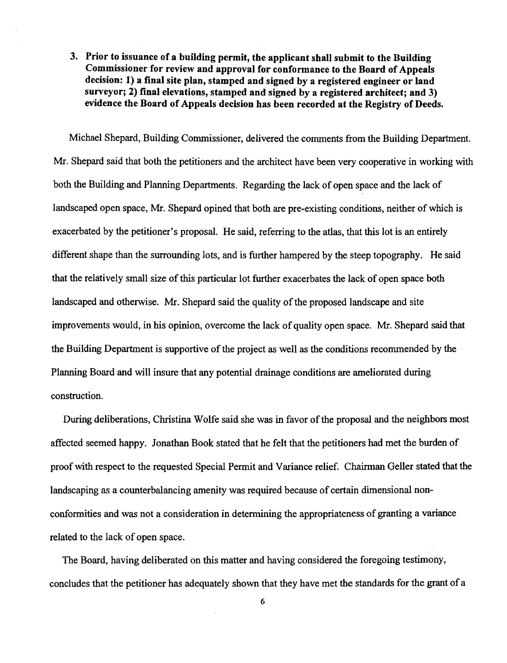# 3. Prior to issuance of a building permit, the applicant shall submit to the Building Commissioner for review and approval for conformance to the Board of Appeals decision: 1) a final site plan, stamped and signed by a registered engineer or land surveyor; 2) final elevations, stamped and signed by a registered architect; and 3) evidence the Board of Appeals decision has been recorded at the Registry of Deeds.

Michael Shepard, Building Commissioner, delivered the comments from the Building Department. Mr. Shepard said that both the petitioners and the architect have been very cooperative in working with both the Building and Planning Departments. Regarding the lack of open space and the lack of landscaped open space, Mr. Shepard opined that both are pre-existing conditions, neither of which is exacerbated by the petitioner's proposal. He said, referring to the atlas, that this lot is an entirely different shape than the surrounding lots, and is further hampered by the steep topography. He said that the relatively small size ofthis particular lot further exacerbates the lack of open space both landscaped and otherwise. Mr. Shepard said the quality of the proposed landscape and site improvements would, in his opinion, overcome the lack ofquality open space. Mr. Shepard said that the Building Department is supportive of the project as well as the conditions recommended by the Planning Board and will insure that any potential drainage conditions are ameliorated during construction.

During deliberations, Christina Wolfe said she was in favor of the proposal and the neighbors most affected seemed happy. Jonathan Book stated that he felt that the petitioners had met the burden of proof with respect to the requested Special Permit and Variance relief. Chairman Geller stated that the landscaping as a counterbalancing amenity was required because of certain dimensional nonconformities and was not a consideration in determining the appropriateness of granting a variance related to the lack of open space.

The Board, having deliberated on this matter and having considered the foregoing testimony, concludes that the petitioner has adequately shown that they have met the standards for the grant of a

6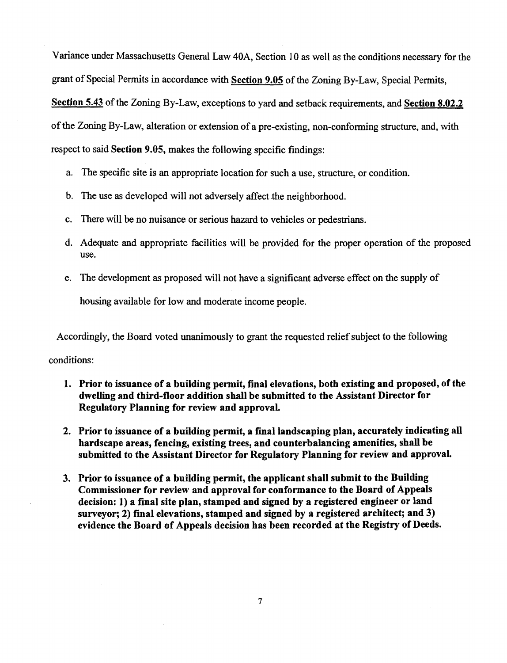Variance under Massachusetts General Law 40A, Section 10 as well as the conditions necessary for the grant of Special Permits in accordance with Section 9.05 of the Zoning By-Law, Special Permits, Section 5.43 of the Zoning By-Law, exceptions to yard and setback requirements, and Section 8.02.2 of the Zoning By-Law, alteration or extension of a pre-existing, non-conforming structure, and, with respect to said Section 9.05, makes the following specific findings:

- a. The specific site is an appropriate location for such a use, structure, or condition.
- b. The use as developed will not adversely affect the neighborhood.
- c. There will be no nuisance or serious hazard to vehicles or pedestrians.
- d. Adequate and appropriate facilities will be provided for the proper operation of the proposed use.
- e. The development as proposed will not have a significant adverse effect on the supply of housing available for low and moderate income people.

Accordingly, the Board voted unanimously to grant the requested relief subject to the following

conditions:

- 1. Prior to issuance of a building permit, final elevations, both existing and proposed, of the dwelling and third-floor addition shall be submitted to the Assistant Director for Regulatory Planning for review and approval.
- 2. Prior to issuance of a building permit, a final landscaping plan, accurately indicating all hardscape areas, fencing, existing trees, and counterbalancing amenities, shall be submitted to the Assistant Director for Regulatory Planning for review and approval.
- 3. Prior to issuance of a building permit, the applicant shall submit to the Building Commissioner for review and approval for conformance to the Board of Appeals decision: 1) a final site plan, stamped and signed by a registered engineer or land surveyor; 2) final elevations, stamped and signed by a registered architect; and 3) evidence the Board of Appeals decision has been recorded at the Registry of Deeds.